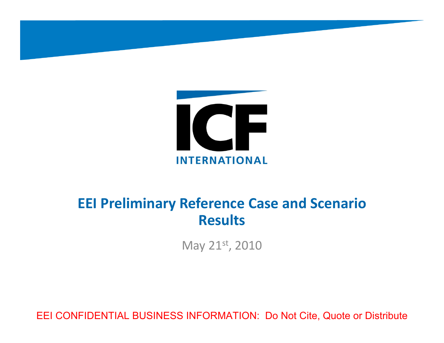

# EEI CONFIDENTIAL BUSINESS INFORMATION: Do Not Cite, Quote or Distribute **EEI Preliminary Reference Case and Scenario Results** May 21st, <sup>2010</sup>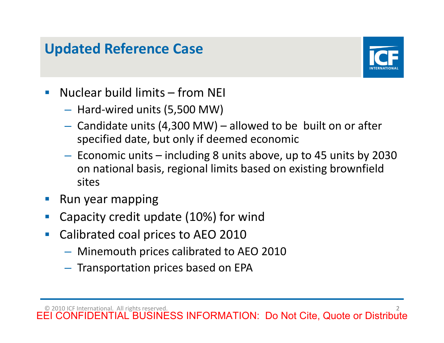

- -
	-
- Updated Reference Case<br>
 Nuclear build limits from NEI<br>
 Hard-wired units (5,500 MW)<br>
 Candidate units (4,300 MW) allowed to be built on or after<br>
specified date, but only if deemed economic<br>
 Economic units incl
	-
	-
	- -
		-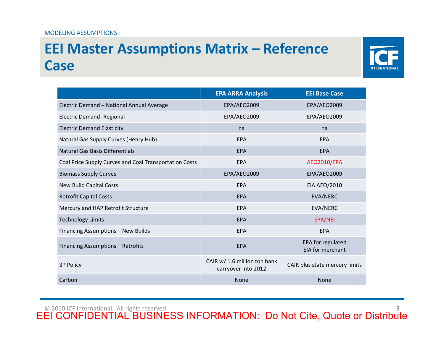

| <b>Case</b>                                            |                                                     |                                       |
|--------------------------------------------------------|-----------------------------------------------------|---------------------------------------|
|                                                        | <b>EPA ARRA Analysis</b>                            | <b>EEI Base Case</b>                  |
| Electric Demand - National Annual Average              | <b>EPA/AEO2009</b>                                  | EPA/AEO2009                           |
| <b>Electric Demand -Regional</b>                       | EPA/AEO2009                                         | EPA/AEO2009                           |
| <b>Electric Demand Elasticity</b>                      | na                                                  | na                                    |
| Natural Gas Supply Curves (Henry Hub)                  | <b>EPA</b>                                          | <b>EPA</b>                            |
| <b>Natural Gas Basis Differentials</b>                 | <b>EPA</b>                                          | <b>EPA</b>                            |
| Coal Price Supply Curves and Coal Transportation Costs | EPA                                                 | <b>AEO2010/EPA</b>                    |
| <b>Biomass Supply Curves</b>                           | <b>EPA/AEO2009</b>                                  | EPA/AEO2009                           |
| <b>New Build Capital Costs</b>                         | EPA                                                 | <b>EIA AEO/2010</b>                   |
| <b>Retrofit Capital Costs</b>                          | <b>EPA</b>                                          | EVA/NERC                              |
| Mercury and HAP Retrofit Structure                     | <b>EPA</b>                                          | EVA/NERC                              |
| <b>Technology Limits</b>                               | EPA                                                 | EPA/NEI                               |
| Financing Assumptions - New Builds                     | EPA                                                 | EPA                                   |
| Financing Assumptions - Retrofits                      | <b>EPA</b>                                          | EPA for regulated<br>EIA for merchant |
| <b>3P Policy</b>                                       | CAIR w/ 1.6 million ton bank<br>carryover into 2012 | CAIR plus state mercury limits        |
| Carbon                                                 | <b>None</b>                                         | None                                  |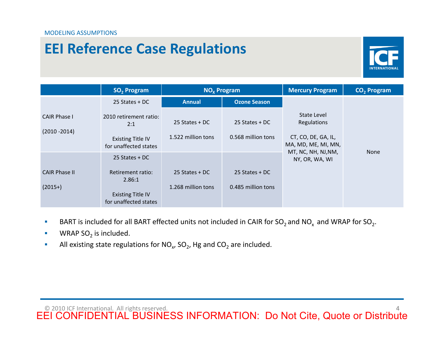

|                         | SO <sub>2</sub> Program                                                                                                                                                                                                      | NO <sub>x</sub> Program |                     | <b>Mercury Program</b>                     | CO <sub>2</sub> Program |  |
|-------------------------|------------------------------------------------------------------------------------------------------------------------------------------------------------------------------------------------------------------------------|-------------------------|---------------------|--------------------------------------------|-------------------------|--|
|                         | 25 States + DC                                                                                                                                                                                                               | <b>Annual</b>           | <b>Ozone Season</b> |                                            |                         |  |
| <b>CAIR Phase I</b>     | 2010 retirement ratio:<br>2:1                                                                                                                                                                                                | 25 States + DC          | 25 States + DC      | State Level<br>Regulations                 |                         |  |
| $(2010 - 2014)$         | <b>Existing Title IV</b><br>for unaffected states                                                                                                                                                                            | 1.522 million tons      | 0.568 million tons  | CT, CO, DE, GA, IL,<br>MA, MD, ME, MI, MN, |                         |  |
|                         | 25 States + DC                                                                                                                                                                                                               |                         |                     | MT, NC, NH, NJ, NM,<br>NY, OR, WA, WI      | None                    |  |
| <b>CAIR Phase II</b>    | Retirement ratio:<br>2.86:1                                                                                                                                                                                                  | 25 States + DC          | 25 States + DC      |                                            |                         |  |
| $(2015+)$               | <b>Existing Title IV</b><br>for unaffected states                                                                                                                                                                            | 1.268 million tons      | 0.485 million tons  |                                            |                         |  |
| WRAP $SO2$ is included. | BART is included for all BART effected units not included in CAIR for SO <sub>2</sub> and NO <sub>x</sub> and WRAP for SO <sub>2</sub> .<br>All existing state regulations for $NO_x$ , $SO_2$ , Hg and $CO_2$ are included. |                         |                     |                                            |                         |  |

- 
- 
-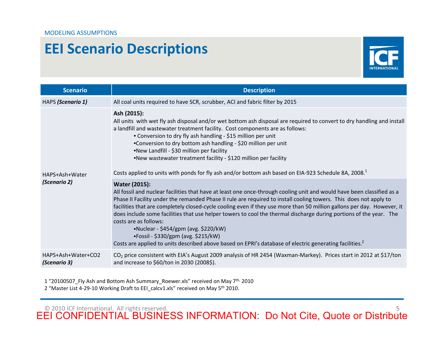

| <b>Scenario</b>                    | <b>Description</b>                                                                                                                                                                                                                                                                                                                                                                                                                                                                                                                                                                                                                                                                                                                                                                                                                                                                                                                                                                                                                                                                                                                           |  |
|------------------------------------|----------------------------------------------------------------------------------------------------------------------------------------------------------------------------------------------------------------------------------------------------------------------------------------------------------------------------------------------------------------------------------------------------------------------------------------------------------------------------------------------------------------------------------------------------------------------------------------------------------------------------------------------------------------------------------------------------------------------------------------------------------------------------------------------------------------------------------------------------------------------------------------------------------------------------------------------------------------------------------------------------------------------------------------------------------------------------------------------------------------------------------------------|--|
| HAPS (Scenario 1)                  | All coal units required to have SCR, scrubber, ACI and fabric filter by 2015                                                                                                                                                                                                                                                                                                                                                                                                                                                                                                                                                                                                                                                                                                                                                                                                                                                                                                                                                                                                                                                                 |  |
| HAPS+Ash+Water<br>(Scenario 2)     | Ash (2015):<br>All units with wet fly ash disposal and/or wet bottom ash disposal are required to convert to dry handling and install<br>a landfill and wastewater treatment facility. Cost components are as follows:<br>• Conversion to dry fly ash handling - \$15 million per unit<br>•Conversion to dry bottom ash handling - \$20 million per unit<br>.New Landfill - \$30 million per facility<br>.New wastewater treatment facility - \$120 million per facility<br>Costs applied to units with ponds for fly ash and/or bottom ash based on EIA-923 Schedule 8A, 2008. <sup>1</sup><br><b>Water (2015):</b><br>All fossil and nuclear facilities that have at least one once-through cooling unit and would have been classified as a<br>Phase II Facility under the remanded Phase II rule are required to install cooling towers. This does not apply to<br>facilities that are completely closed-cycle cooling even if they use more than 50 million gallons per day. However, it<br>does include some facilities that use helper towers to cool the thermal discharge during portions of the year. The<br>costs are as follows: |  |
| HAPS+Ash+Water+CO2<br>(Scenario 3) | •Nuclear - \$454/gpm (avg. \$220/kW)<br>•Fossil - \$330/gpm (avg. \$215/kW)<br>Costs are applied to units described above based on EPRI's database of electric generating facilities. <sup>2</sup><br>CO <sub>2</sub> price consistent with EIA's August 2009 analysis of HR 2454 (Waxman-Markey). Prices start in 2012 at \$17/ton<br>and increase to \$60/ton in 2030 (2008\$).                                                                                                                                                                                                                                                                                                                                                                                                                                                                                                                                                                                                                                                                                                                                                            |  |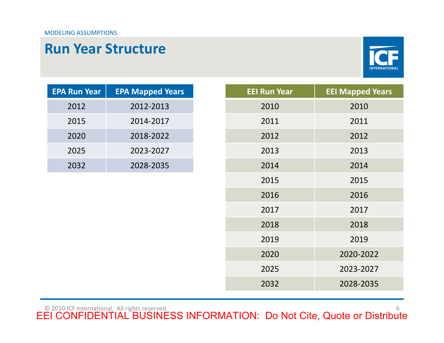

| <b>EPA Run Year</b> | <b>EPA Mapped Years</b> |
|---------------------|-------------------------|
| 2012                | 2012-2013               |
| 2015                | 2014-2017               |
| 2020                | 2018-2022               |
| 2025                | 2023-2027               |
| 2032                | 2028-2035               |

|                     | <b>Run Year Structure</b> |                     | <b>INTERNATIONA</b>     |
|---------------------|---------------------------|---------------------|-------------------------|
| <b>EPA Run Year</b> | <b>EPA Mapped Years</b>   | <b>EEI Run Year</b> | <b>EEI Mapped Years</b> |
| 2012                | 2012-2013                 | 2010                | 2010                    |
| 2015                | 2014-2017                 | 2011                | 2011                    |
| 2020                | 2018-2022                 | 2012                | 2012                    |
| 2025                | 2023-2027                 | 2013                | 2013                    |
| 2032                | 2028-2035                 | 2014                | 2014                    |
|                     |                           | 2015                | 2015                    |
|                     |                           | 2016                | 2016                    |
|                     |                           | 2017                | 2017                    |
|                     |                           | 2018                | 2018                    |
|                     |                           | 2019                | 2019                    |
|                     |                           | 2020                | 2020-2022               |
|                     |                           | 2025                | 2023-2027               |
|                     |                           | 2032                | 2028-2035               |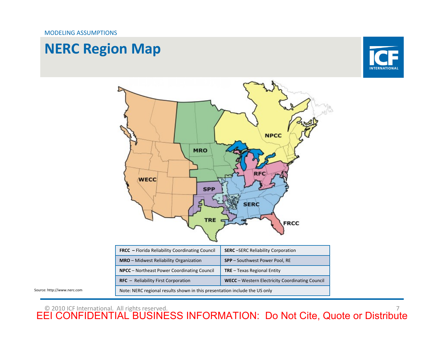

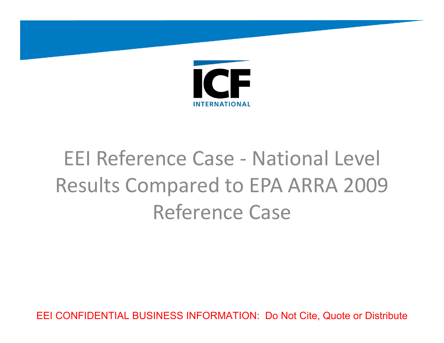

# EEI Reference Case - National Level<br>Results Compared to EPA ARRA 2009<br>Reference Case<br>ЕЕІ CONFIDENTIAL BUSINESS INFORMATION: Do Not Cite, Quote or Distribute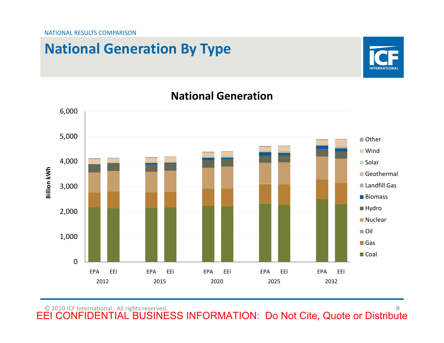# **National Generation By Type**



### EEI CONFIDENTIAL BUSINESS INFORMATION: Do Not Cite, Quote or Distribute<br>
EEI CONFIDENTIAL BUSINESS INFORMATION: Do Not Cite, Quote or Distribute **Billion kWh** ■ Other **Wind** ■ Solar GeothermalLandfill Gas**Biomass** ■ Hydro **Nuclear** ■ Oil **■Gas ■**Coal 20122015 2020 2025 2032

### **National Generation**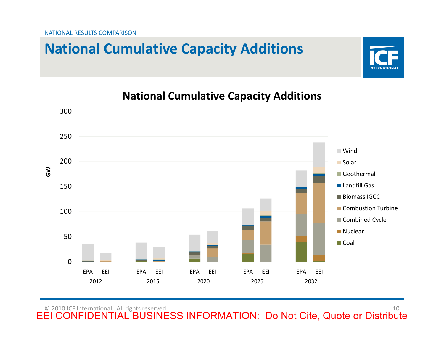# **National Cumulative Capacity Additions**



### **National Cumulative Capacity Additions**

**INTERNATIONA**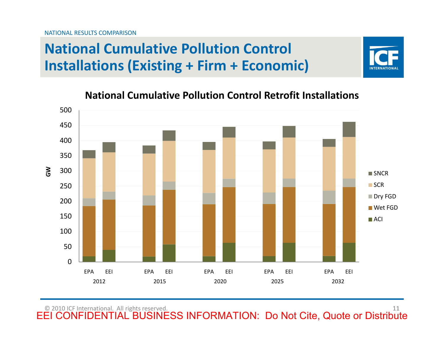# **National Cumulative Pollution Control Installations (Existing <sup>+</sup> Firm <sup>+</sup> Economic)**



### **National Cumulative Pollution Control Retrofit Installations**

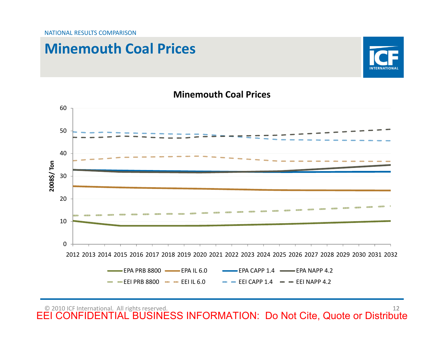## **Minemouth Coal Prices**



# $\frac{60}{2000}$ <br>  $\frac{1}{200}$ <br>  $\frac{1}{200}$ <br>  $\frac{1}{200}$ <br>  $\frac{1}{200}$ <br>  $\frac{1}{200}$ <br>  $\frac{1}{200}$ <br>  $\frac{1}{2000}$ <br>  $\frac{1}{2000}$ <br>  $\frac{1}{2000}$ <br>  $\frac{1}{2000}$ <br>  $\frac{1}{2000}$ <br>  $\frac{1}{2000}$ <br>  $\frac{1}{2000}$ <br>  $\frac{1}{2000}$ <br>  $\frac{1}{2000}$ <br>  $\$ **2008\$/ Ton** EPA PRB 8800 EPA IL 6.0  $\leftarrow$  EPA CAPP 1.4  $\leftarrow$  EPA NAPP 4.2 EEI PRB $B = EEI CAPP 1.4$   $B = EI NAPP 4.2$

### **Minemouth Coal Prices**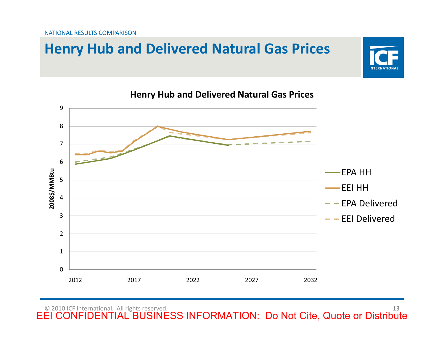# **Henry Hub and Delivered Natural Gas Prices**





**Henry Hub and Delivered Natural Gas Prices**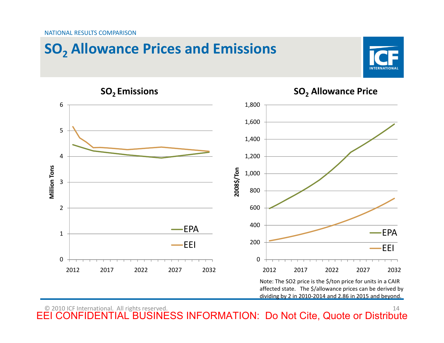

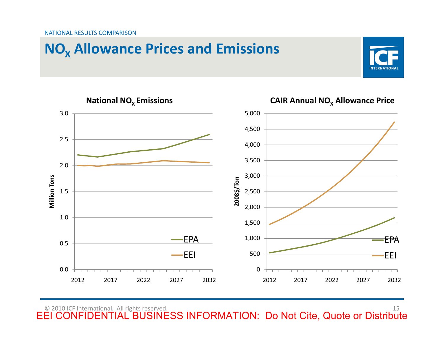### NATIONAL RESULTS COMPARISON





**CAIR Annual NO<sub>x</sub> Allowance Price**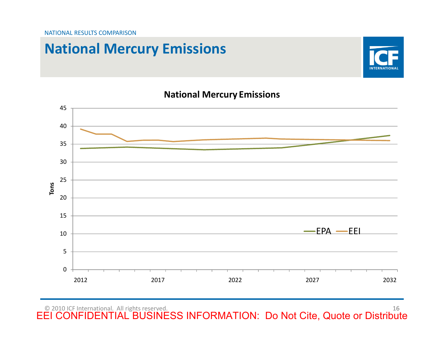# **National Mercury Emissions**



### **National Mercury Emissions**

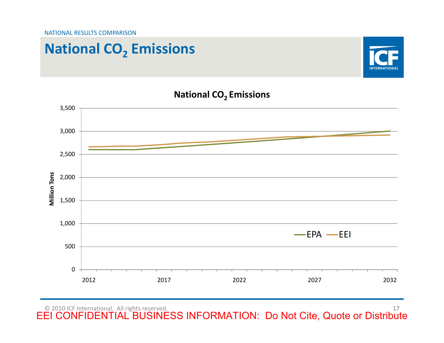# **National CO2 Emissions**



### **National CO2 Emissions**

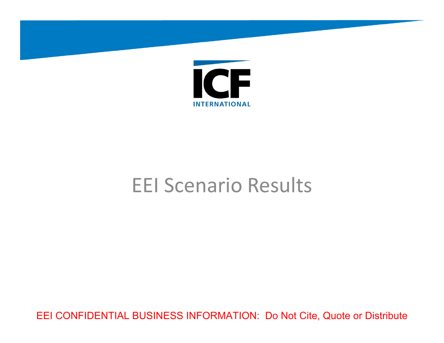

EEI Scenario Results<br>EEI CONFIDENTIAL BUSINESS INFORMATION: Do Not Cite, Quote or Distribute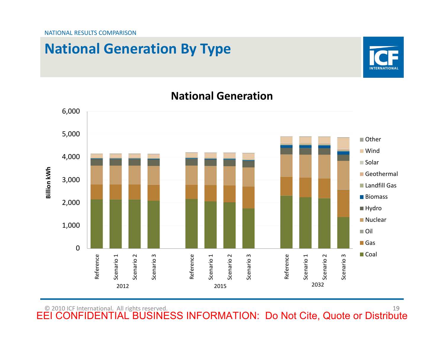# **National Generation By Type**



### **National Generation**

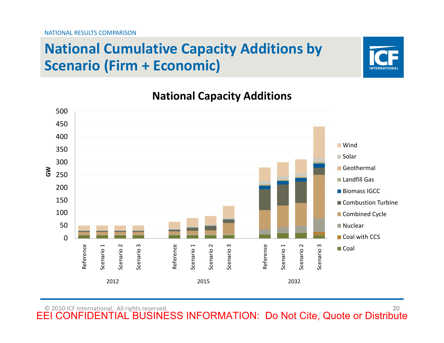# **National Cumulative Capacity Additions by Scenario (Firm <sup>+</sup> Economic)**



### **National Capacity Additions**

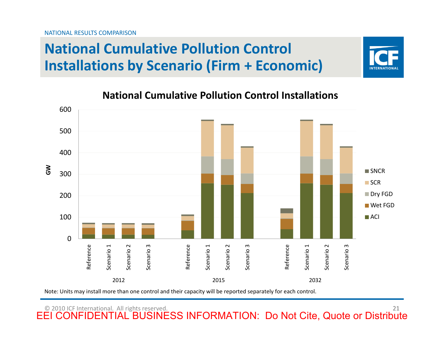NATIONAL RESULTS COMPARISON

# **National Cumulative Pollution Control Installations by Scenario (Firm <sup>+</sup> Economic)**



### **National Cumulative Pollution Control Installations**



Note: Units may install more than one control and their capacity will be reported separately for each control.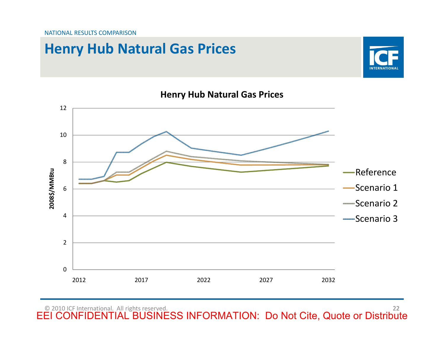## **Henry Hub Natural Gas Prices**





### **Henry Hub Natural Gas Prices**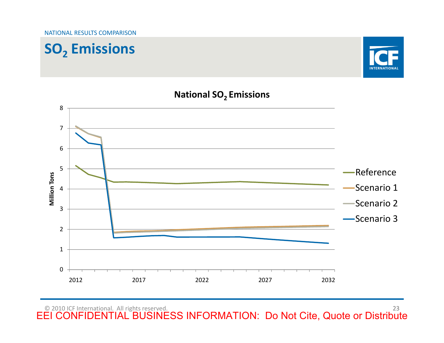





### **National SO2 Emissions**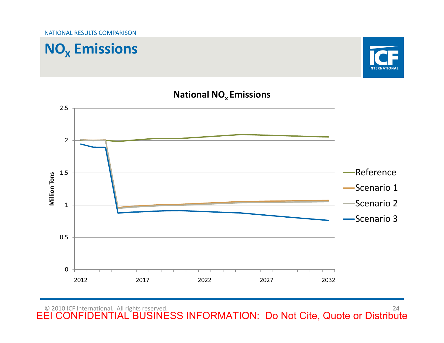





### **National NOx Emissions**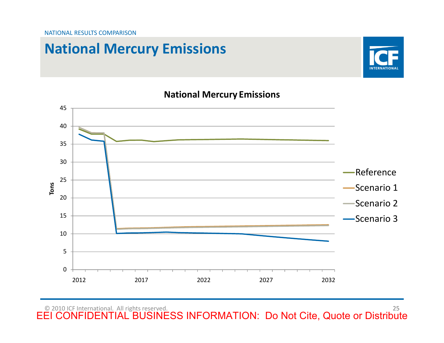# **National Mercury Emissions**



### **National Mercury Emissions**

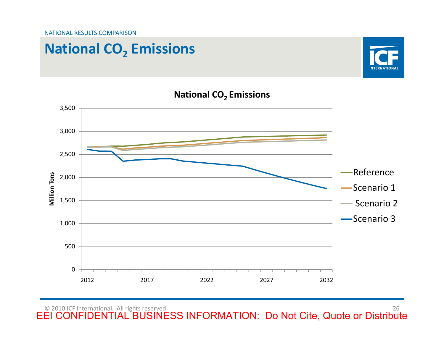# **National CO2 Emissions**





### **National CO2 Emissions**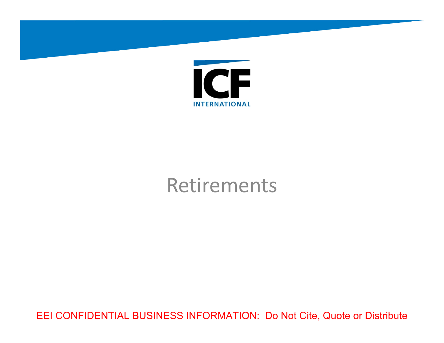

Retirements<br>EEI CONFIDENTIAL BUSINESS INFORMATION: Do Not Cite, Quote or Distribute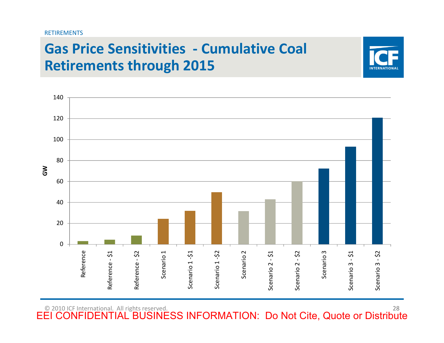

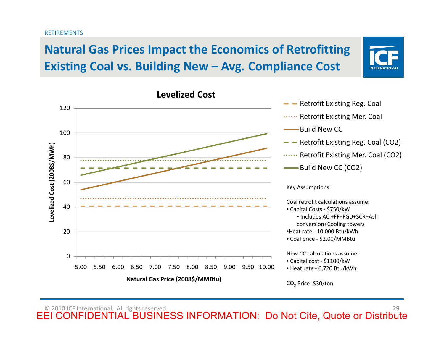### RETIREMENTS

## **Natural Gas Prices Impact the Economics of Retrofitting Existing Coal vs. Building New – Avg. Compliance Cost**



### **Levelized Cost**

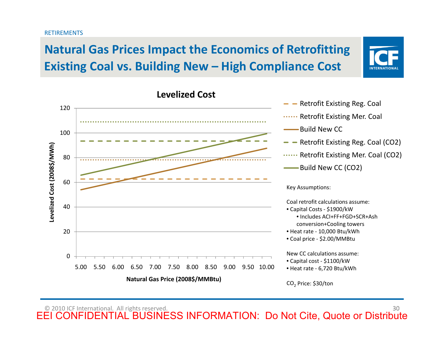### RETIREMENTS

## **Natural Gas Prices Impact the Economics of Retrofitting Existing Coal vs. Building New – High Compliance Cost**



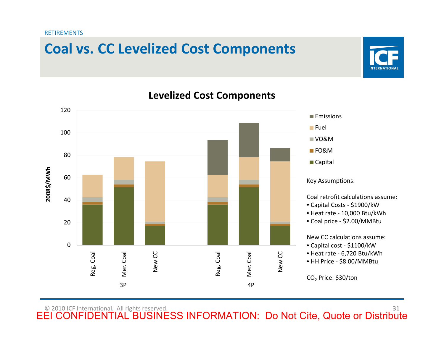**RETIREMENTS** 

# **Coal vs. CC Levelized Cost Components**



### EEI CONFIDENTIAL BUSINESS INFORMATION: Do Not Cite, Quote or Distribute<br>
EEI CONFIDENTIAL BUSINESS INFORMATION: Do Not Cite, Quote or Distribute<br>
EEI CONFIDENTIAL BUSINESS INFORMATION: Do Not Cite, Quote or Distribute 31<br> Reg. Coal Mer. Coal New CC Reg. Coal Mer. Coal New CC **2008\$/MWh Emissions** FuelVO&MFO&M■ Capital Key Assumptions: Coal retrofit calculations assume: • Capital Costs ‐ \$1900/kW • Heat rate ‐ 10,000 Btu/kWh • Coal price ‐ \$2.00/MMBtu New CC calculations assume: • Capital cost ‐ \$1100/kW • Heat rate ‐ 6,720 Btu/kWh • HH Price ‐ \$8.00/MMBtu CO<sub>2</sub> Price: \$30/ton

 $3P$  4P

### **Levelized Cost Components**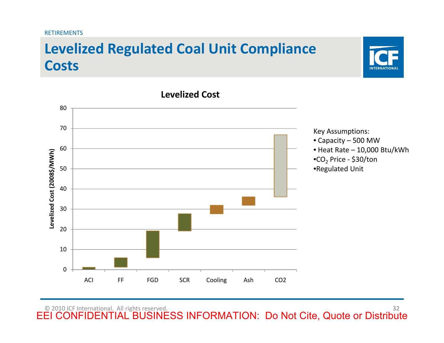### **RETIREMENTS**

# **Levelized Regulated Coal Unit Compliance Costs**



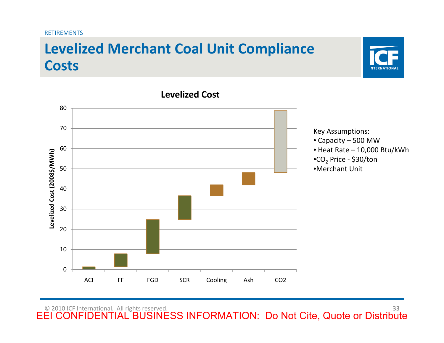### **RETIREMENTS**

# **Levelized Merchant Coal Unit Compliance Costs**



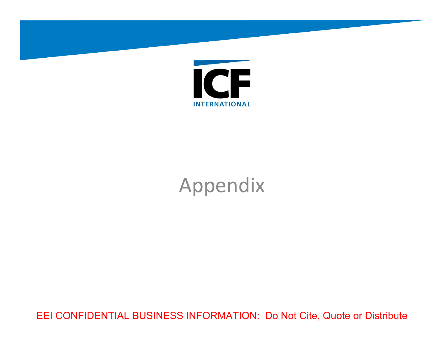

Appendix<br>EEI CONFIDENTIAL BUSINESS INFORMATION: Do Not Cite, Quote or Distribute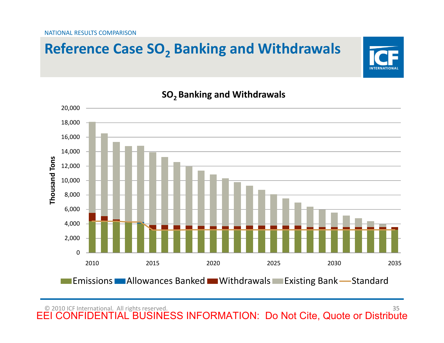# **Reference Case SO2 Banking and Withdrawals**



### **SO2 Banking and Withdrawals**

© 2010 ICF International. All rights reserved.

**INTERNATIONA**